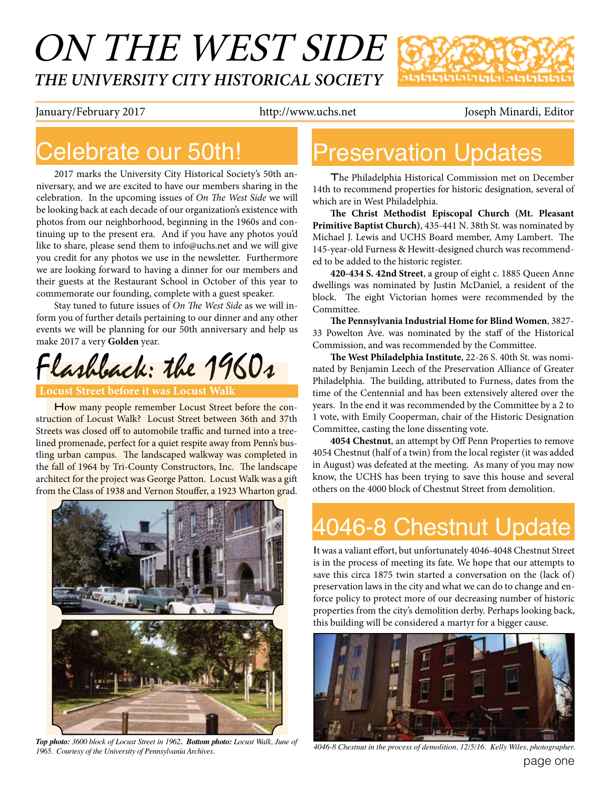# ON THE WEST SIDE *THE UNIVERSITY CITY HISTORICAL SOCIETY*

กตุตญตตตตตตตตตตตตต

January/February 2017 http://www.uchs.net Joseph Minardi, Editor

#### Celebrate our 50th!

2017 marks the University City Historical Society's 50th anniversary, and we are excited to have our members sharing in the celebration. In the upcoming issues of *On The West Side* we will be looking back at each decade of our organization's existence with photos from our neighborhood, beginning in the 1960s and continuing up to the present era. And if you have any photos you'd like to share, please send them to info@uchs.net and we will give you credit for any photos we use in the newsletter. Furthermore we are looking forward to having a dinner for our members and their guests at the Restaurant School in October of this year to commemorate our founding, complete with a guest speaker.

Stay tuned to future issues of *On The West Side* as we will inform you of further details pertaining to our dinner and any other events we will be planning for our 50th anniversary and help us make 2017 a very **Golden** year.

Flashback: the 1960s

#### **Locust Street before it was Locust Walk**

How many people remember Locust Street before the construction of Locust Walk? Locust Street between 36th and 37th Streets was closed off to automobile traffic and turned into a treelined promenade, perfect for a quiet respite away from Penn's bustling urban campus. The landscaped walkway was completed in the fall of 1964 by Tri-County Constructors, Inc. The landscape architect for the project was George Patton. Locust Walk was a gif from the Class of 1938 and Vernon Stouffer, a 1923 Wharton grad.



*Top photo: 3600 block of Locust Street in 1962. Bottom photo: Locust Walk, June of 1965. Courtesy of the University of Pennsylvania Archives.*

### Preservation Updates

The Philadelphia Historical Commission met on December 14th to recommend properties for historic designation, several of which are in West Philadelphia.

**Te Christ Methodist Episcopal Church (Mt. Pleasant Primitive Baptist Church)**, 435-441 N. 38th St. was nominated by Michael J. Lewis and UCHS Board member, Amy Lambert. The 145-year-old Furness & Hewitt-designed church was recommended to be added to the historic register.

**420-434 S. 42nd Street**, a group of eight c. 1885 Queen Anne dwellings was nominated by Justin McDaniel, a resident of the block. The eight Victorian homes were recommended by the Committee.

**Te Pennsylvania Industrial Home for Blind Women**, 3827- 33 Powelton Ave. was nominated by the staf of the Historical Commission, and was recommended by the Committee.

The West Philadelphia Institute, 22-26 S. 40th St. was nominated by Benjamin Leech of the Preservation Alliance of Greater Philadelphia. The building, attributed to Furness, dates from the time of the Centennial and has been extensively altered over the years. In the end it was recommended by the Committee by a 2 to 1 vote, with Emily Cooperman, chair of the Historic Designation Committee, casting the lone dissenting vote.

**4054 Chestnut**, an attempt by Of Penn Properties to remove 4054 Chestnut (half of a twin) from the local register (it was added in August) was defeated at the meeting. As many of you may now know, the UCHS has been trying to save this house and several others on the 4000 block of Chestnut Street from demolition.

# 4046-8 Chestnut Update

It was a valiant effort, but unfortunately 4046-4048 Chestnut Street is in the process of meeting its fate. We hope that our attempts to save this circa 1875 twin started a conversation on the (lack of) preservation laws in the city and what we can do to change and enforce policy to protect more of our decreasing number of historic properties from the city's demolition derby. Perhaps looking back, this building will be considered a martyr for a bigger cause.



*4046-8 Chestnut in the process of demolition, 12/5/16. Kelly Wiles, photographer.*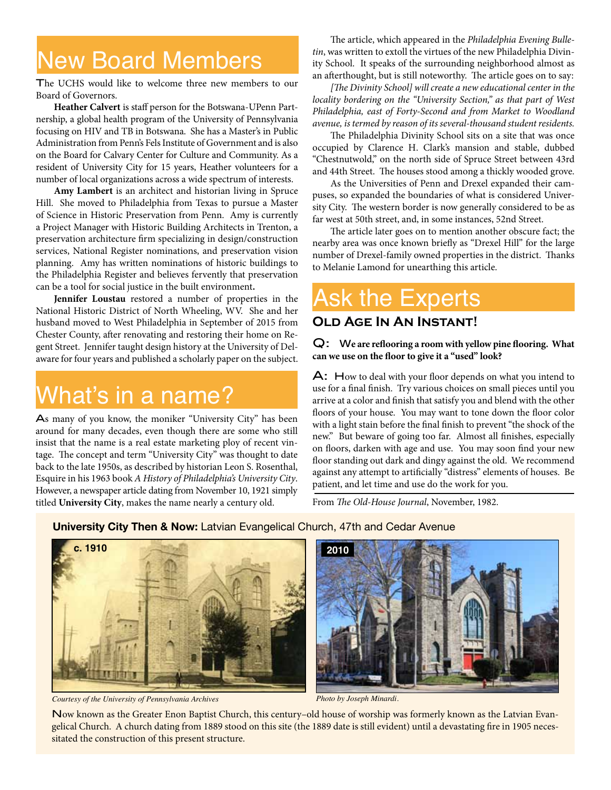#### New Board Members

The UCHS would like to welcome three new members to our Board of Governors.

**Heather Calvert** is staff person for the Botswana-UPenn Partnership, a global health program of the University of Pennsylvania focusing on HIV and TB in Botswana. She has a Master's in Public Administration from Penn's Fels Institute of Government and is also on the Board for Calvary Center for Culture and Community. As a resident of University City for 15 years, Heather volunteers for a number of local organizations across a wide spectrum of interests.

**Amy Lambert** is an architect and historian living in Spruce Hill. She moved to Philadelphia from Texas to pursue a Master of Science in Historic Preservation from Penn. Amy is currently a Project Manager with Historic Building Architects in Trenton, a preservation architecture frm specializing in design/construction services, National Register nominations, and preservation vision planning. Amy has written nominations of historic buildings to the Philadelphia Register and believes fervently that preservation can be a tool for social justice in the built environment**.**

**Jennifer Loustau** restored a number of properties in the National Historic District of North Wheeling, WV. She and her husband moved to West Philadelphia in September of 2015 from Chester County, after renovating and restoring their home on Regent Street. Jennifer taught design history at the University of Delaware for four years and published a scholarly paper on the subject.

## What's in a name?

As many of you know, the moniker "University City" has been around for many decades, even though there are some who still insist that the name is a real estate marketing ploy of recent vintage. The concept and term "University City" was thought to date back to the late 1950s, as described by historian Leon S. Rosenthal, Esquire in his 1963 book *A History of Philadelphia's University City*. However, a newspaper article dating from November 10, 1921 simply titled **University City**, makes the name nearly a century old.

The article, which appeared in the *Philadelphia Evening Bulletin*, was written to extoll the virtues of the new Philadelphia Divinity School. It speaks of the surrounding neighborhood almost as an afterthought, but is still noteworthy. The article goes on to say:

*[*T*e Divinity School] will create a new educational center in the locality bordering on the "University Section," as that part of West Philadelphia, east of Forty-Second and from Market to Woodland avenue, is termed by reason of its several-thousand student residents.*

The Philadelphia Divinity School sits on a site that was once occupied by Clarence H. Clark's mansion and stable, dubbed "Chestnutwold," on the north side of Spruce Street between 43rd and 44th Street. The houses stood among a thickly wooded grove.

As the Universities of Penn and Drexel expanded their campuses, so expanded the boundaries of what is considered University City. The western border is now generally considered to be as far west at 50th street, and, in some instances, 52nd Street.

The article later goes on to mention another obscure fact; the nearby area was once known briefy as "Drexel Hill" for the large number of Drexel-family owned properties in the district. Thanks to Melanie Lamond for unearthing this article.

### Ask the Experts

#### **Old Age In An Instant!**

Q: W**e are refooring a room with yellow pine fooring. What can we use on the foor to give it a "used" look?**

A: How to deal with your floor depends on what you intend to use for a fnal fnish. Try various choices on small pieces until you arrive at a color and fnish that satisfy you and blend with the other floors of your house. You may want to tone down the floor color with a light stain before the fnal fnish to prevent "the shock of the new." But beware of going too far. Almost all fnishes, especially on floors, darken with age and use. You may soon find your new floor standing out dark and dingy against the old. We recommend against any attempt to artifcially "distress" elements of houses. Be patient, and let time and use do the work for you.

From *The Old-House Journal*, November, 1982.

**University City Then & Now:** Latvian Evangelical Church, 47th and Cedar Avenue



*Courtesy of the University of Pennsylvania Archives Photo by Joseph Minardi.*



Now known as the Greater Enon Baptist Church, this century–old house of worship was formerly known as the Latvian Evangelical Church. A church dating from 1889 stood on this site (the 1889 date is still evident) until a devastating fre in 1905 necessitated the construction of this present structure.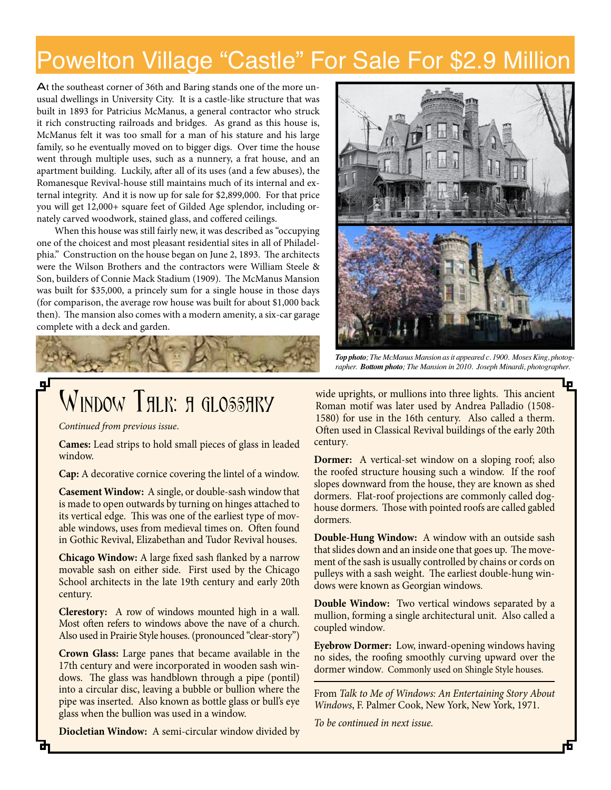#### Powelton Village "Castle" For Sale For \$2.9 Million

At the southeast corner of 36th and Baring stands one of the more unusual dwellings in University City. It is a castle-like structure that was built in 1893 for Patricius McManus, a general contractor who struck it rich constructing railroads and bridges. As grand as this house is, McManus felt it was too small for a man of his stature and his large family, so he eventually moved on to bigger digs. Over time the house went through multiple uses, such as a nunnery, a frat house, and an apartment building. Luckily, afer all of its uses (and a few abuses), the Romanesque Revival-house still maintains much of its internal and external integrity. And it is now up for sale for \$2,899,000. For that price you will get 12,000+ square feet of Gilded Age splendor, including ornately carved woodwork, stained glass, and cofered ceilings.

When this house was still fairly new, it was described as "occupying one of the choicest and most pleasant residential sites in all of Philadelphia." Construction on the house began on June 2, 1893. The architects were the Wilson Brothers and the contractors were William Steele & Son, builders of Connie Mack Stadium (1909). The McManus Mansion was built for \$35,000, a princely sum for a single house in those days (for comparison, the average row house was built for about \$1,000 back then). The mansion also comes with a modern amenity, a six-car garage complete with a deck and garden.





*Continued from previous issue*.

**Cames:** Lead strips to hold small pieces of glass in leaded window.

**Cap:** A decorative cornice covering the lintel of a window.

**Casement Window:** A single, or double-sash window that is made to open outwards by turning on hinges attached to its vertical edge. This was one of the earliest type of movable windows, uses from medieval times on. Often found in Gothic Revival, Elizabethan and Tudor Revival houses.

**Chicago Window:** A large fxed sash fanked by a narrow movable sash on either side. First used by the Chicago School architects in the late 19th century and early 20th century.

**Clerestory:** A row of windows mounted high in a wall. Most often refers to windows above the nave of a church. Also used in Prairie Style houses. (pronounced "clear-story")

**Crown Glass:** Large panes that became available in the 17th century and were incorporated in wooden sash windows. The glass was handblown through a pipe (pontil) into a circular disc, leaving a bubble or bullion where the pipe was inserted. Also known as bottle glass or bull's eye glass when the bullion was used in a window.

**Diocletian Window:** A semi-circular window divided by



*Top photo; The McManus Mansion as it appeared c. 1900. Moses King, photographer. Bottom photo; The Mansion in 2010. Joseph Minardi, photographer.*

wide uprights, or mullions into three lights. This ancient Roman motif was later used by Andrea Palladio (1508- 1580) for use in the 16th century. Also called a therm. Often used in Classical Revival buildings of the early 20th century.

**Dormer:** A vertical-set window on a sloping roof; also the roofed structure housing such a window. If the roof slopes downward from the house, they are known as shed dormers. Flat-roof projections are commonly called doghouse dormers. Those with pointed roofs are called gabled dormers.

**Double-Hung Window:** A window with an outside sash that slides down and an inside one that goes up. The movement of the sash is usually controlled by chains or cords on pulleys with a sash weight. The earliest double-hung windows were known as Georgian windows.

**Double Window:** Two vertical windows separated by a mullion, forming a single architectural unit. Also called a coupled window.

**Eyebrow Dormer:** Low, inward-opening windows having no sides, the roofng smoothly curving upward over the dormer window. Commonly used on Shingle Style houses.

From *Talk to Me of Windows: An Entertaining Story About Windows*, F. Palmer Cook, New York, New York, 1971.

*To be continued in next issue.*

цI